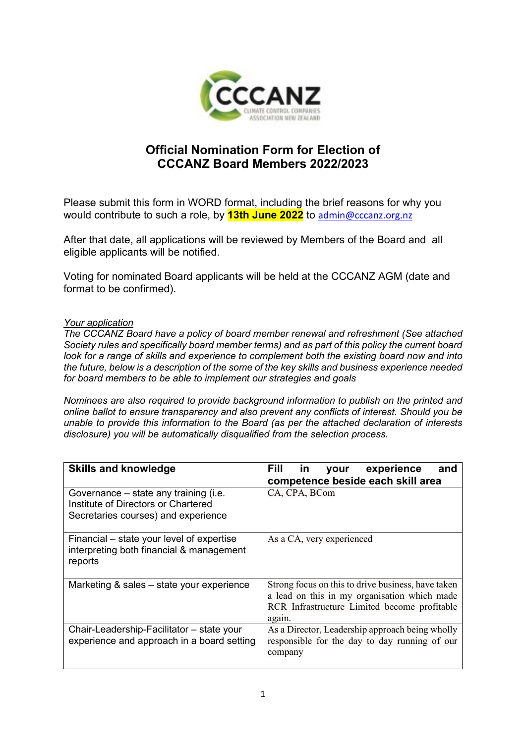

## **Official Nomination Form for Election of CCCANZ Board Members 2022/2023**

Please submit this form in WORD format, including the brief reasons for why you would contribute to such a role, by **13th June 2022** to [admin@cccanz.org.nz](mailto:admin@cccanz.org.nz)

After that date, all applications will be reviewed by Members of the Board and all eligible applicants will be notified.

Voting for nominated Board applicants will be held at the CCCANZ AGM (date and format to be confirmed).

## *Your application*

*The CCCANZ Board have a policy of board member renewal and refreshment (See attached Society rules and specifically board member terms) and as part of this policy the current board look for a range of skills and experience to complement both the existing board now and into the future, below is a description of the some of the key skills and business experience needed for board members to be able to implement our strategies and goals*

*Nominees are also required to provide background information to publish on the printed and online ballot to ensure transparency and also prevent any conflicts of interest. Should you be unable to provide this information to the Board (as per the attached declaration of interests disclosure) you will be automatically disqualified from the selection process.* 

| <b>Skills and knowledge</b>                                                                                         | Fill<br>experience<br>in in<br>and<br>your<br>competence beside each skill area                                                                              |
|---------------------------------------------------------------------------------------------------------------------|--------------------------------------------------------------------------------------------------------------------------------------------------------------|
| Governance – state any training (i.e.<br>Institute of Directors or Chartered<br>Secretaries courses) and experience | CA, CPA, BCom                                                                                                                                                |
| Financial – state your level of expertise<br>interpreting both financial & management<br>reports                    | As a CA, very experienced                                                                                                                                    |
| Marketing & sales – state your experience                                                                           | Strong focus on this to drive business, have taken<br>a lead on this in my organisation which made<br>RCR Infrastructure Limited become profitable<br>again. |
| Chair-Leadership-Facilitator – state your<br>experience and approach in a board setting                             | As a Director, Leadership approach being wholly<br>responsible for the day to day running of our<br>company                                                  |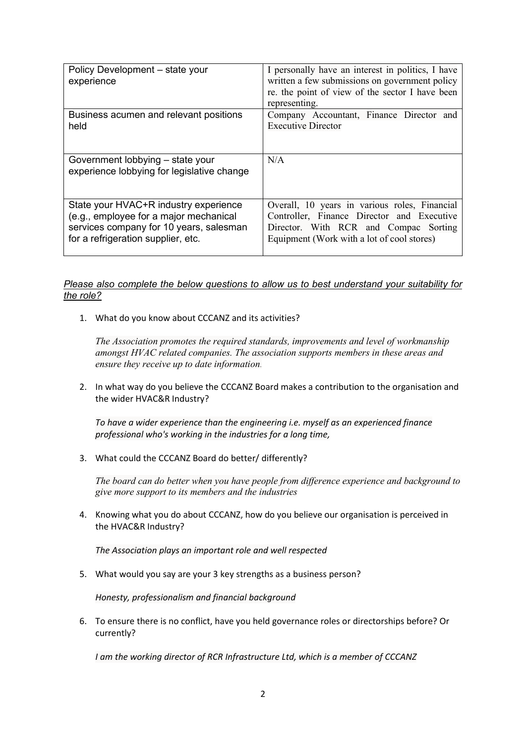| Policy Development - state your<br>experience                                  | I personally have an interest in politics, I have<br>written a few submissions on government policy<br>re. the point of view of the sector I have been<br>representing. |
|--------------------------------------------------------------------------------|-------------------------------------------------------------------------------------------------------------------------------------------------------------------------|
| Business acumen and relevant positions                                         | Company Accountant, Finance Director and                                                                                                                                |
| held                                                                           | <b>Executive Director</b>                                                                                                                                               |
| Government lobbying - state your<br>experience lobbying for legislative change | N/A                                                                                                                                                                     |
| State your HVAC+R industry experience                                          | Overall, 10 years in various roles, Financial                                                                                                                           |
| (e.g., employee for a major mechanical                                         | Controller, Finance Director and Executive                                                                                                                              |
| services company for 10 years, salesman                                        | Director. With RCR and Compac Sorting                                                                                                                                   |
| for a refrigeration supplier, etc.                                             | Equipment (Work with a lot of cool stores)                                                                                                                              |

## *Please also complete the below questions to allow us to best understand your suitability for the role?*

1. What do you know about CCCANZ and its activities?

*The Association promotes the required standards, improvements and level of workmanship amongst HVAC related companies. The association supports members in these areas and ensure they receive up to date information*.

2. In what way do you believe the CCCANZ Board makes a contribution to the organisation and the wider HVAC&R Industry?

*To have a wider experience than the engineering i.e. myself as an experienced finance professional who's working in the industries for a long time,*

3. What could the CCCANZ Board do better/ differently?

*The board can do better when you have people from difference experience and background to give more support to its members and the industries*

4. Knowing what you do about CCCANZ, how do you believe our organisation is perceived in the HVAC&R Industry?

*The Association plays an important role and well respected*

5. What would you say are your 3 key strengths as a business person?

*Honesty, professionalism and financial background*

6. To ensure there is no conflict, have you held governance roles or directorships before? Or currently?

*I am the working director of RCR Infrastructure Ltd, which is a member of CCCANZ*